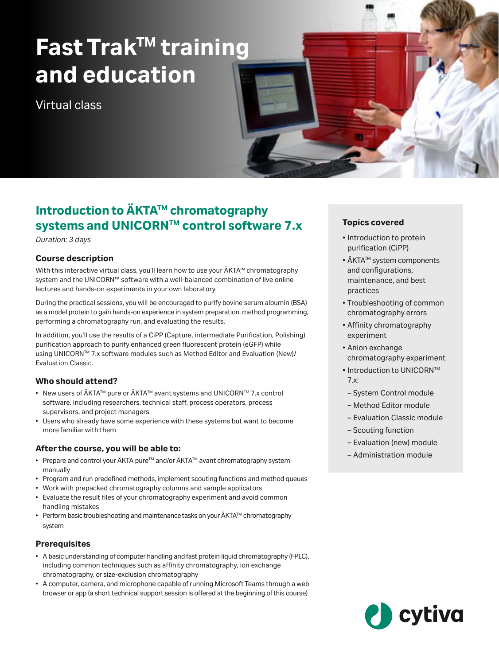# **Fast TrakTM training and education**

Virtual class

# **Introduction to ÄKTA™ chromatography systems and UNICORNTM control software 7.x**

*Duration: 3 days*

# **Course description**

With this interactive virtual class, you'll learn how to use your ÄKTA™ chromatography system and the UNICORN™ software with a well-balanced combination of live online lectures and hands-on experiments in your own laboratory.

During the practical sessions, you will be encouraged to purify bovine serum albumin (BSA) as a model protein to gain hands-on experience in system preparation, method programming, performing a chromatography run, and evaluating the results.

In addition, you'll use the results of a CiPP (Capture, intermediate Purification, Polishing) purification approach to purify enhanced green fluorescent protein (eGFP) while using UNICORNTM 7.x software modules such as Method Editor and Evaluation (New)/ Evaluation Classic.

# **Who should attend?**

- New users of ÄKTA™ pure or ÄKTA™ avant systems and UNICORN™ 7.x control software, including researchers, technical staff, process operators, process supervisors, and project managers
- Users who already have some experience with these systems but want to become more familiar with them

### **After the course, you will be able to:**

- Prepare and control your ÄKTA pure™ and/or ÄKTA™ avant chromatography system manually
- Program and run predefined methods, implement scouting functions and method queues
- Work with prepacked chromatography columns and sample applicators
- Evaluate the result files of your chromatography experiment and avoid common handling mistakes
- Perform basic troubleshooting and maintenance tasks on your ÄKTA<sup>TM</sup> chromatography system

### **Prerequisites**

- A basic understanding of computer handling and fast protein liquid chromatography (FPLC), including common techniques such as affinity chromatography, ion exchange chromatography, or size-exclusion chromatography
- A computer, camera, and microphone capable of running Microsoft Teams through a web browser or app (a short technical support session is offered at the beginning of this course)

### **Topics covered**

- Introduction to protein purification (CiPP)
- ÄKTA™ system components and configurations, maintenance, and best practices
- Troubleshooting of common chromatography errors
- Affinity chromatography experiment
- Anion exchange chromatography experiment
- Introduction to UNICORN™ 7.x:
- System Control module
- Method Editor module
- Evaluation Classic module
- Scouting function
- Evaluation (new) module
- Administration module